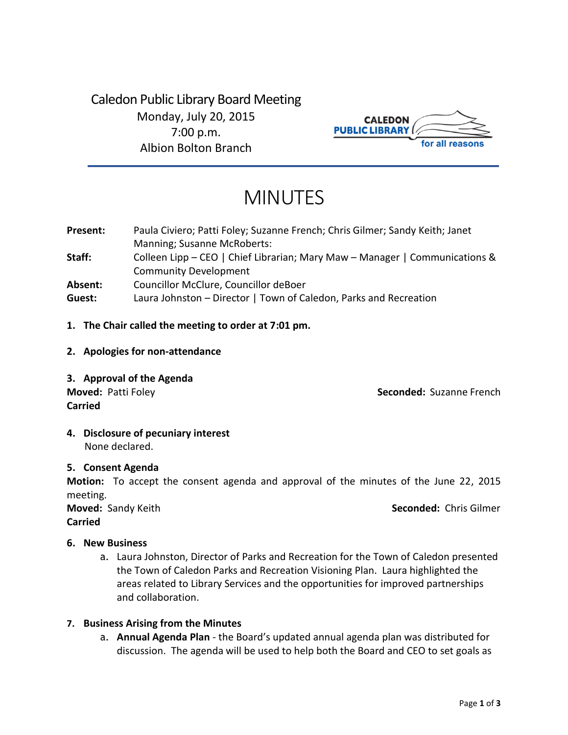Caledon Public Library Board Meeting Monday, July 20, 2015 7:00 p.m. Albion Bolton Branch



# MINUTES

- **Present: Staff: Absent: Guest:**  Paula Civiero; Patti Foley; Suzanne French; Chris Gilmer; Sandy Keith; Janet Manning; Susanne McRoberts: Colleen Lipp – CEO | Chief Librarian; Mary Maw – Manager | Communications & Community Development Councillor McClure, Councillor deBoer Laura Johnston – Director | Town of Caledon, Parks and Recreation
- **1. The Chair called the meeting to order at 7:01 pm.**
- **2. Apologies for non-attendance**
- **3. Approval of the Agenda**

**Moved:** Patti Foley **Seconded:** Suzanne French

**4. Disclosure of pecuniary interest** None declared.

## **5. Consent Agenda**

**Carried**

**Motion:** To accept the consent agenda and approval of the minutes of the June 22, 2015 meeting.

**Carried**

**Moved:** Sandy Keith **Seconded:** Chris Gilmer

## **6. New Business**

a. Laura Johnston, Director of Parks and Recreation for the Town of Caledon presented the Town of Caledon Parks and Recreation Visioning Plan. Laura highlighted the areas related to Library Services and the opportunities for improved partnerships and collaboration.

## **7. Business Arising from the Minutes**

a. **Annual Agenda Plan** - the Board's updated annual agenda plan was distributed for discussion. The agenda will be used to help both the Board and CEO to set goals as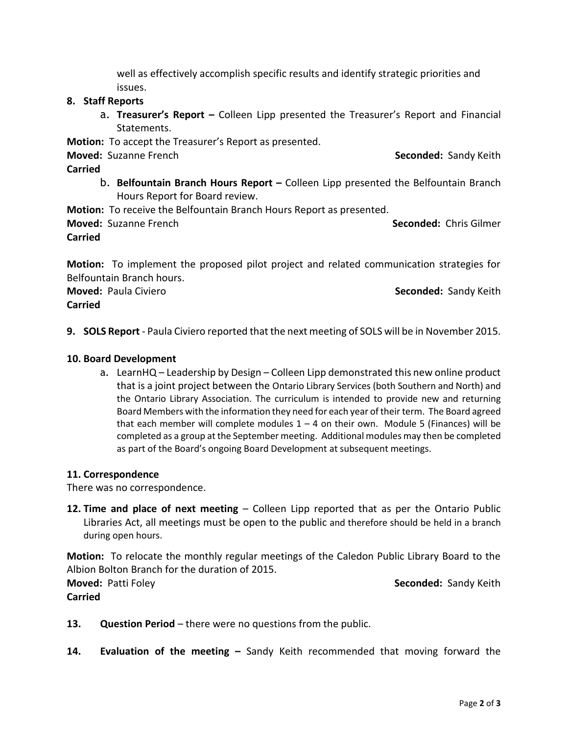well as effectively accomplish specific results and identify strategic priorities and issues.

# **8. Staff Reports**

a. **Treasurer's Report –** Colleen Lipp presented the Treasurer's Report and Financial Statements.

**Motion:** To accept the Treasurer's Report as presented.

**Moved:** Suzanne French **Seconded:** Sandy Keith

**Carried**

- b. **Belfountain Branch Hours Report –** Colleen Lipp presented the Belfountain Branch Hours Report for Board review.
- **Motion:** To receive the Belfountain Branch Hours Report as presented.

**Moved:** Suzanne French **Seconded:** Chris Gilmer **Carried**

# **Motion:** To implement the proposed pilot project and related communication strategies for Belfountain Branch hours.

**Moved:** Paula Civiero **Seconded:** Sandy Keith **Carried**

**9. SOLS Report** - Paula Civiero reported that the next meeting of SOLS will be in November 2015.

# **10. Board Development**

a. LearnHQ – Leadership by Design – Colleen Lipp demonstrated this new online product that is a joint project between the Ontario Library Services (both Southern and North) and the Ontario Library Association. The curriculum is intended to provide new and returning Board Members with the information they need for each year of their term. The Board agreed that each member will complete modules  $1 - 4$  on their own. Module 5 (Finances) will be completed as a group at the September meeting. Additional modules may then be completed as part of the Board's ongoing Board Development at subsequent meetings.

## **11. Correspondence**

There was no correspondence.

**12. Time and place of next meeting** – Colleen Lipp reported that as per the Ontario Public Libraries Act, all meetings must be open to the public and therefore should be held in a branch during open hours.

**Motion:** To relocate the monthly regular meetings of the Caledon Public Library Board to the Albion Bolton Branch for the duration of 2015.

**Carried**

**Moved:** Patti Foley **Seconded:** Sandy Keith

- 13. **Question Period** there were no questions from the public.
- **14. Evaluation of the meeting –** Sandy Keith recommended that moving forward the